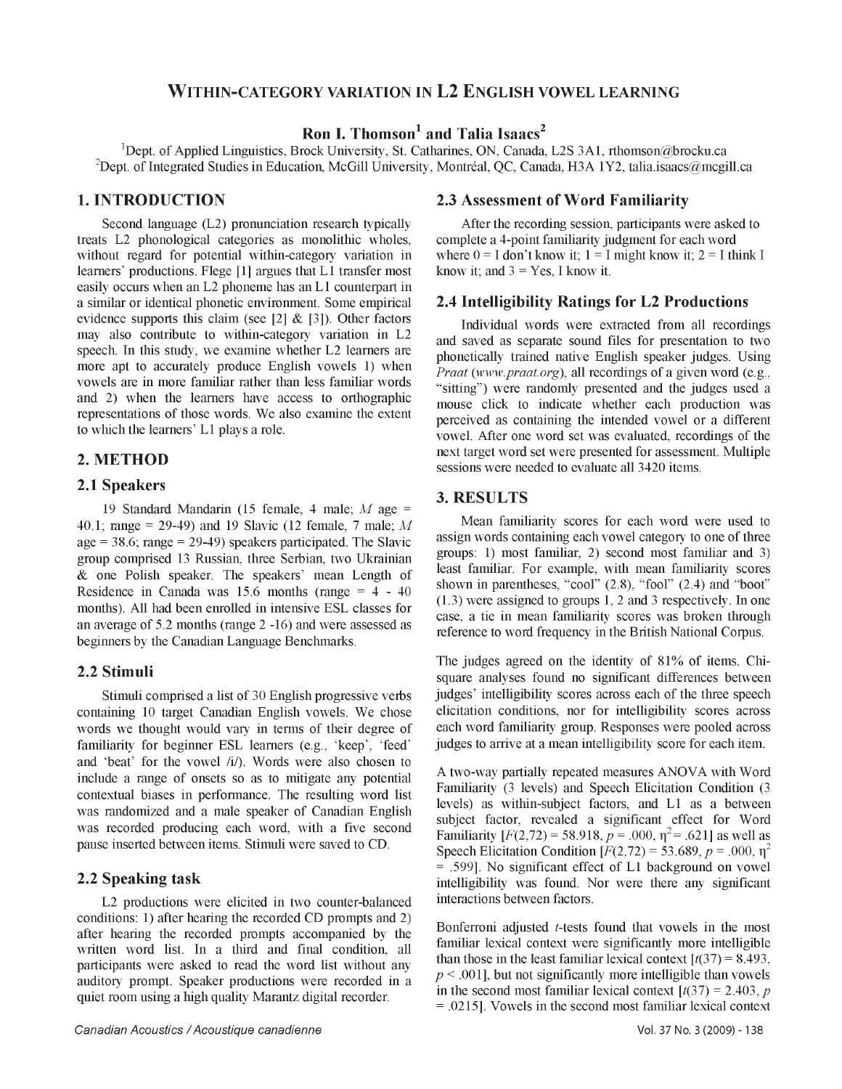# **WITHIN-CATEGORY VARIATION IN L 2 ENGLISH VOWEL LEARNING**

# **Ron I. Thomson<sup>1</sup> and Talia Isaacs<sup>2</sup>**

'Dept. of Applied Linguistics, Brock University, St. Catharines, ON, Canada, L2S 3A1, [rthomson@brocku.ca](mailto:rthomson@brocku.ca) <sup>2</sup>Dept. of Integrated Studies in Education, McGill University, Montréal, QC, Canada, H3A 1Y2, [talia.isaacs@mcgill.ca](mailto:talia.isaacs@mcgill.ca)

# **1. INTRODUCTION**

Second language (L2) pronunciation research typically treats L2 phonological categories as monolithic wholes, without regard for potential within-category variation in learners' productions. Flege [1] argues that L1 transfer most easily occurs when an L2 phoneme has an L1 counterpart in a similar or identical phonetic environment. Some empirical evidence supports this claim (see [2]  $\&$  [3]). Other factors may also contribute to within-category variation in L2 speech. In this study, we examine whether L2 learners are more apt to accurately produce English vowels 1) when vowels are in more familiar rather than less familiar words and 2) when the learners have access to orthographic representations of those words. We also examine the extent to which the learners' L1 plays a role.

# **2. METHOD**

### **2.1 Speakers**

19 Standard Mandarin (15 female, 4 male; *M* age = 40.1; range = 29-49) and 19 Slavic (12 female, 7 male; *M* age  $= 38.6$ ; range  $= 29-49$ ) speakers participated. The Slavic group comprised 13 Russian, three Serbian, two Ukrainian & one Polish speaker. The speakers' mean Length of Residence in Canada was  $15.6$  months (range =  $4 - 40$ ) months). All had been enrolled in intensive ESL classes for an average of 5.2 months (range 2 -16) and were assessed as beginners by the Canadian Language Benchmarks.

### **2.2 Stimuli**

Stimuli comprised a list of 30 English progressive verbs containing 10 target Canadian English vowels. We chose words we thought would vary in terms of their degree of familiarity for beginner ESL learners (e.g., 'keep', 'feed' and 'beat' for the vowel /i/). Words were also chosen to include a range of onsets so as to mitigate any potential contextual biases in performance. The resulting word list was randomized and a male speaker of Canadian English was recorded producing each word, with a five second pause inserted between items. Stimuli were saved to CD.

### **2.2 Speaking task**

L2 productions were elicited in two counter-balanced conditions: 1) after hearing the recorded CD prompts and 2) after hearing the recorded prompts accompanied by the written word list. In a third and final condition, all participants were asked to read the word list without any auditory prompt. Speaker productions were recorded in a quiet room using a high quality Marantz digital recorder.

After the recording session, participants were asked to complete a 4-point familiarity judgment for each word where  $0 = I$  don't know it;  $1 = I$  might know it;  $2 = I$  think I know it; and  $3 = Yes$ , I know it.

### **2.4 Intelligibility Ratings for L2 Productions**

Individual words were extracted from all recordings and saved as separate sound files for presentation to two phonetically trained native English speaker judges. Using *Praat [\(www.praat.org\)](http://www.praat.org)*, all recordings of a given word (e.g., "sitting") were randomly presented and the judges used a mouse click to indicate whether each production was perceived as containing the intended vowel or a different vowel. After one word set was evaluated, recordings of the next target word set were presented for assessment. Multiple sessions were needed to evaluate all 3420 items.

### **3. RESULTS**

Mean familiarity scores for each word were used to assign words containing each vowel category to one of three groups: 1) most familiar, 2) second most familiar and 3) least familiar. For example, with mean familiarity scores shown in parentheses, "cool" (2.8), "fool" (2.4) and "boot" (1.3) were assigned to groups 1, 2 and 3 respectively. In one case, a tie in mean familiarity scores was broken through reference to word frequency in the British National Corpus.

The judges agreed on the identity of 81% of items. Chisquare analyses found no significant differences between judges' intelligibility scores across each of the three speech elicitation conditions, nor for intelligibility scores across each word familiarity group. Responses were pooled across judges to arrive at a mean intelligibility score for each item.

A two-way partially repeated measures ANOVA with Word Familiarity (3 levels) and Speech Elicitation Condition (3 levels) as within-subject factors, and L1 as a between subject factor, revealed a significant effect for Word Familiarity  $[F(2,72) = 58.918, p = .000, \eta^2 = .621]$  as well as Speech Elicitation Condition  $[F(2,72) = 53.689, p = .000, \eta^2]$ = .599]. No significant effect of L1 background on vowel intelligibility was found. Nor were there any significant interactions between factors.

Bonferroni adjusted *t-tests* found that vowels in the most familiar lexical context were significantly more intelligible than those in the least familiar lexical context  $\left[\frac{t(37)}{3}\right] = 8.493$ .  $p \leq 0.001$ , but not significantly more intelligible than vowels in the second most familiar lexical context  $[t(37) = 2.403, p$ = .0215]. Vowels in the second most familiar lexical context